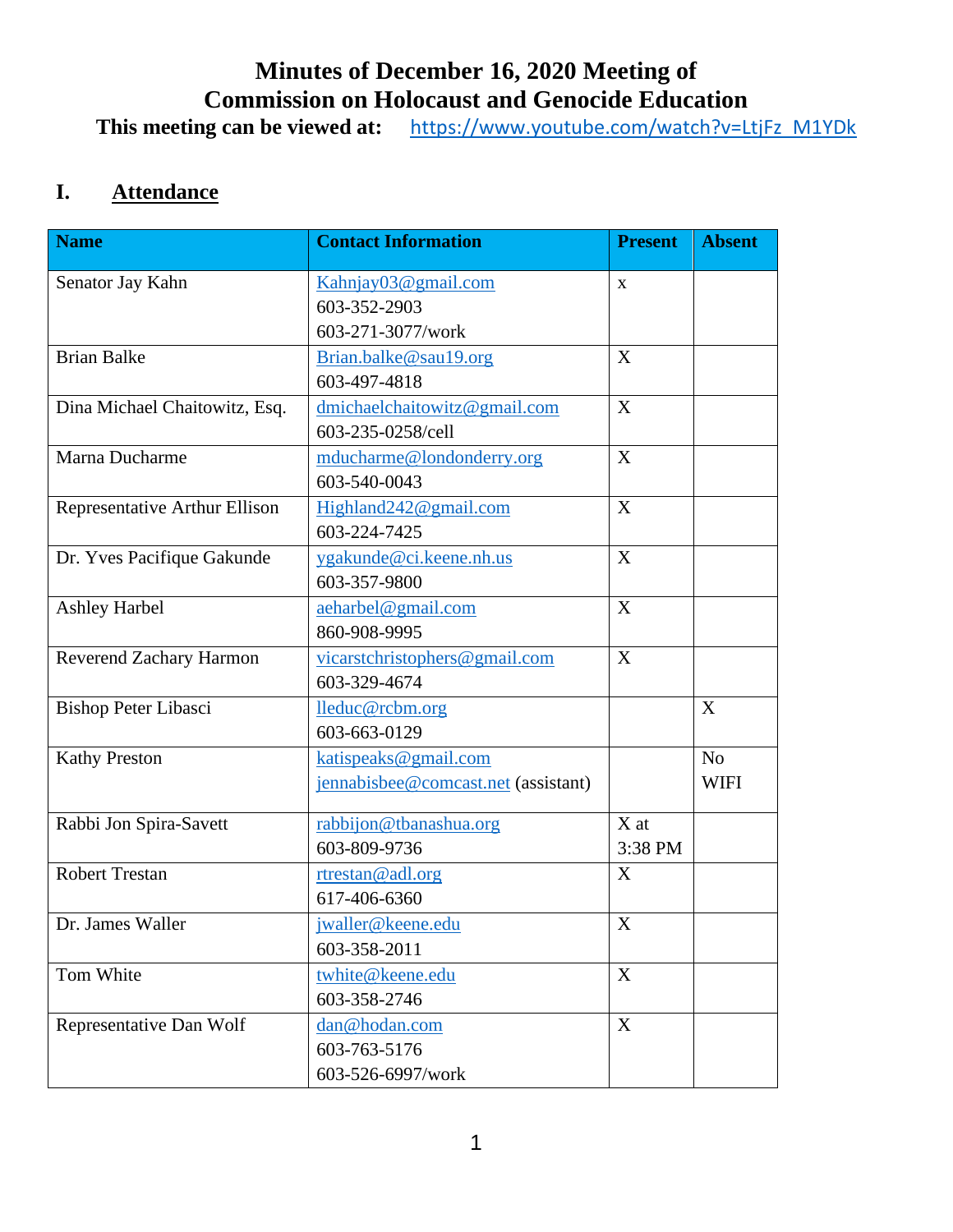# **Minutes of December 16, 2020 Meeting of Commission on Holocaust and Genocide Education**

**This meeting can be viewed at:** [https://www.youtube.com/watch?v=LtjFz\\_M1YDk](https://www.youtube.com/watch?v=LtjFz_M1YDk)

## **I. Attendance**

| <b>Name</b>                   | <b>Contact Information</b>          | <b>Present</b> | <b>Absent</b>  |
|-------------------------------|-------------------------------------|----------------|----------------|
| Senator Jay Kahn              | Kahnjay03@gmail.com                 | $\mathbf X$    |                |
|                               | 603-352-2903                        |                |                |
|                               | 603-271-3077/work                   |                |                |
| <b>Brian Balke</b>            | Brian.balke@sau19.org               | X              |                |
|                               | 603-497-4818                        |                |                |
| Dina Michael Chaitowitz, Esq. | dmichaelchaitowitz@gmail.com        | X              |                |
|                               | 603-235-0258/cell                   |                |                |
| Marna Ducharme                | mducharme@londonderry.org           | X              |                |
|                               | 603-540-0043                        |                |                |
| Representative Arthur Ellison | Highland242@gmail.com               | X              |                |
|                               | 603-224-7425                        |                |                |
| Dr. Yves Pacifique Gakunde    | ygakunde@ci.keene.nh.us             | X              |                |
|                               | 603-357-9800                        |                |                |
| <b>Ashley Harbel</b>          | aeharbel@gmail.com                  | X              |                |
|                               | 860-908-9995                        |                |                |
| Reverend Zachary Harmon       | vicarstchristophers@gmail.com       | X              |                |
|                               | 603-329-4674                        |                |                |
| <b>Bishop Peter Libasci</b>   | lleduc@rcbm.org                     |                | X              |
|                               | 603-663-0129                        |                |                |
| <b>Kathy Preston</b>          | katispeaks@gmail.com                |                | N <sub>o</sub> |
|                               | jennabisbee@comcast.net (assistant) |                | <b>WIFI</b>    |
| Rabbi Jon Spira-Savett        | rabbijon@tbanashua.org              | X at           |                |
|                               | 603-809-9736                        | 3:38 PM        |                |
| <b>Robert Trestan</b>         | rtrestan@adl.org                    | X              |                |
|                               | 617-406-6360                        |                |                |
| Dr. James Waller              | jwaller@keene.edu                   | $\mathbf X$    |                |
|                               | 603-358-2011                        |                |                |
| Tom White                     | twhite@keene.edu                    | X              |                |
|                               | 603-358-2746                        |                |                |
| Representative Dan Wolf       | dan@hodan.com                       | X              |                |
|                               | 603-763-5176                        |                |                |
|                               | 603-526-6997/work                   |                |                |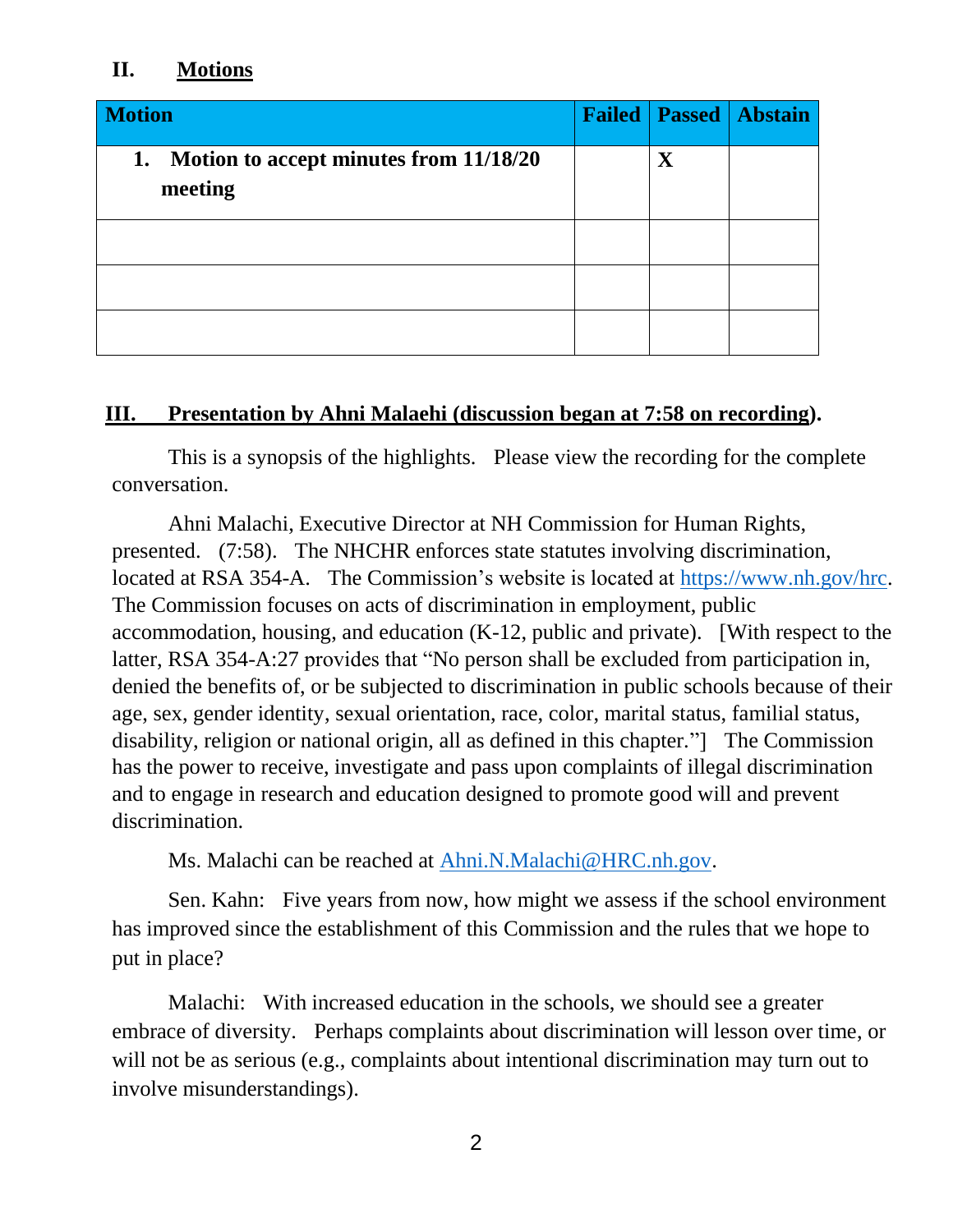#### **II. Motions**

| <b>Motion</b>                                           | <b>Failed</b> |             | <b>Passed   Abstain</b> |
|---------------------------------------------------------|---------------|-------------|-------------------------|
| Motion to accept minutes from 11/18/20<br>1.<br>meeting |               | $\mathbf X$ |                         |
|                                                         |               |             |                         |
|                                                         |               |             |                         |
|                                                         |               |             |                         |

### **III. Presentation by Ahni Malaehi (discussion began at 7:58 on recording).**

This is a synopsis of the highlights. Please view the recording for the complete conversation.

Ahni Malachi, Executive Director at NH Commission for Human Rights, presented. (7:58). The NHCHR enforces state statutes involving discrimination, located at RSA 354-A. The Commission's website is located at [https://www.nh.gov/hrc.](https://www.nh.gov/hrc) The Commission focuses on acts of discrimination in employment, public accommodation, housing, and education (K-12, public and private). [With respect to the latter, RSA 354-A:27 provides that "No person shall be excluded from participation in, denied the benefits of, or be subjected to discrimination in public schools because of their age, sex, gender identity, sexual orientation, race, color, marital status, familial status, disability, religion or national origin, all as defined in this chapter."] The Commission has the power to receive, investigate and pass upon complaints of illegal discrimination and to engage in research and education designed to promote good will and prevent discrimination.

Ms. Malachi can be reached at [Ahni.N.Malachi@HRC.nh.gov.](mailto:Ahni.N.Malachi@HRC.nh.gov)

Sen. Kahn: Five years from now, how might we assess if the school environment has improved since the establishment of this Commission and the rules that we hope to put in place?

Malachi: With increased education in the schools, we should see a greater embrace of diversity. Perhaps complaints about discrimination will lesson over time, or will not be as serious (e.g., complaints about intentional discrimination may turn out to involve misunderstandings).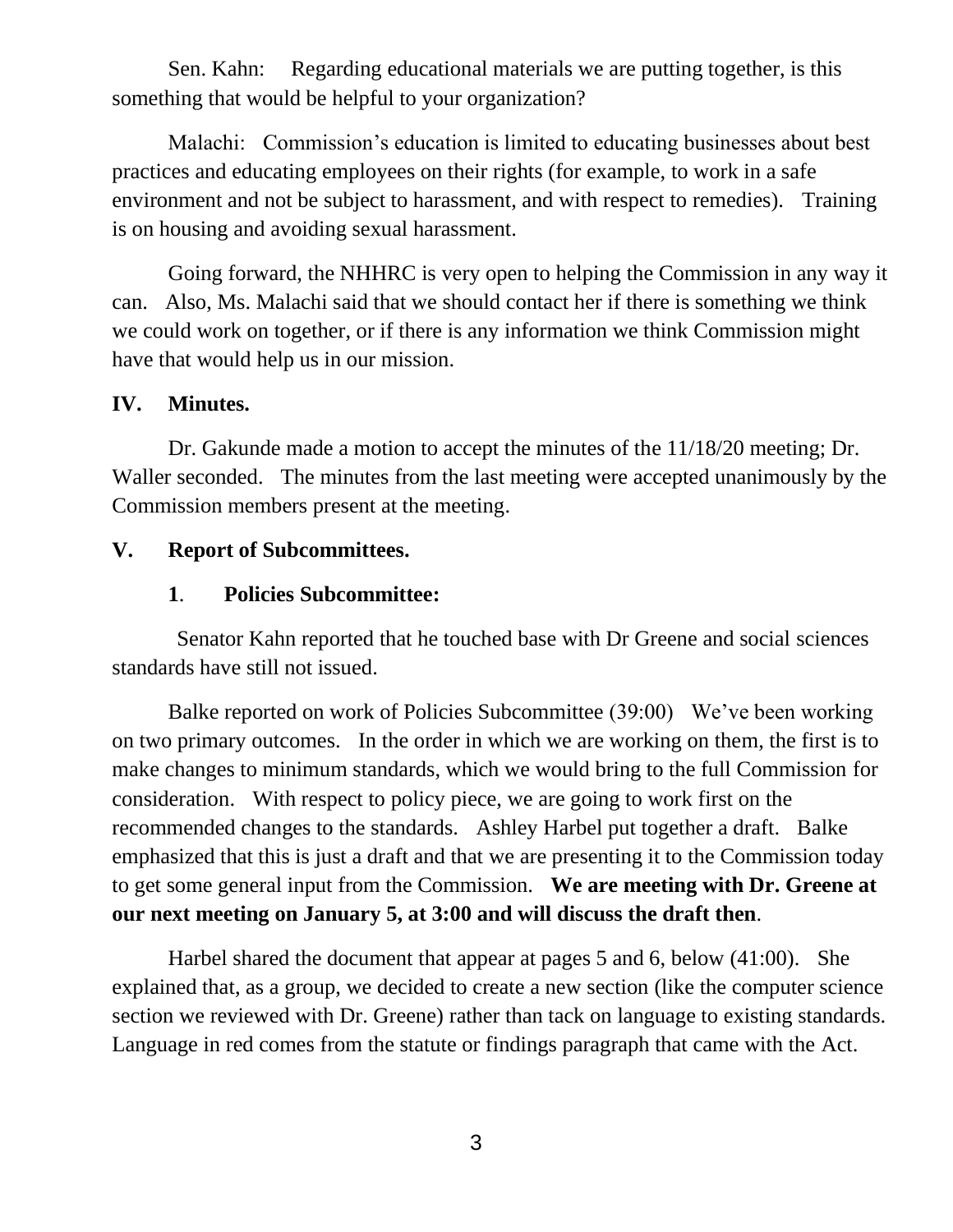Sen. Kahn: Regarding educational materials we are putting together, is this something that would be helpful to your organization?

Malachi: Commission's education is limited to educating businesses about best practices and educating employees on their rights (for example, to work in a safe environment and not be subject to harassment, and with respect to remedies). Training is on housing and avoiding sexual harassment.

Going forward, the NHHRC is very open to helping the Commission in any way it can. Also, Ms. Malachi said that we should contact her if there is something we think we could work on together, or if there is any information we think Commission might have that would help us in our mission.

### **IV. Minutes.**

Dr. Gakunde made a motion to accept the minutes of the 11/18/20 meeting; Dr. Waller seconded. The minutes from the last meeting were accepted unanimously by the Commission members present at the meeting.

### **V. Report of Subcommittees.**

### **1**. **Policies Subcommittee:**

Senator Kahn reported that he touched base with Dr Greene and social sciences standards have still not issued.

Balke reported on work of Policies Subcommittee (39:00) We've been working on two primary outcomes. In the order in which we are working on them, the first is to make changes to minimum standards, which we would bring to the full Commission for consideration. With respect to policy piece, we are going to work first on the recommended changes to the standards. Ashley Harbel put together a draft. Balke emphasized that this is just a draft and that we are presenting it to the Commission today to get some general input from the Commission. **We are meeting with Dr. Greene at our next meeting on January 5, at 3:00 and will discuss the draft then**.

Harbel shared the document that appear at pages 5 and 6, below (41:00). She explained that, as a group, we decided to create a new section (like the computer science section we reviewed with Dr. Greene) rather than tack on language to existing standards. Language in red comes from the statute or findings paragraph that came with the Act.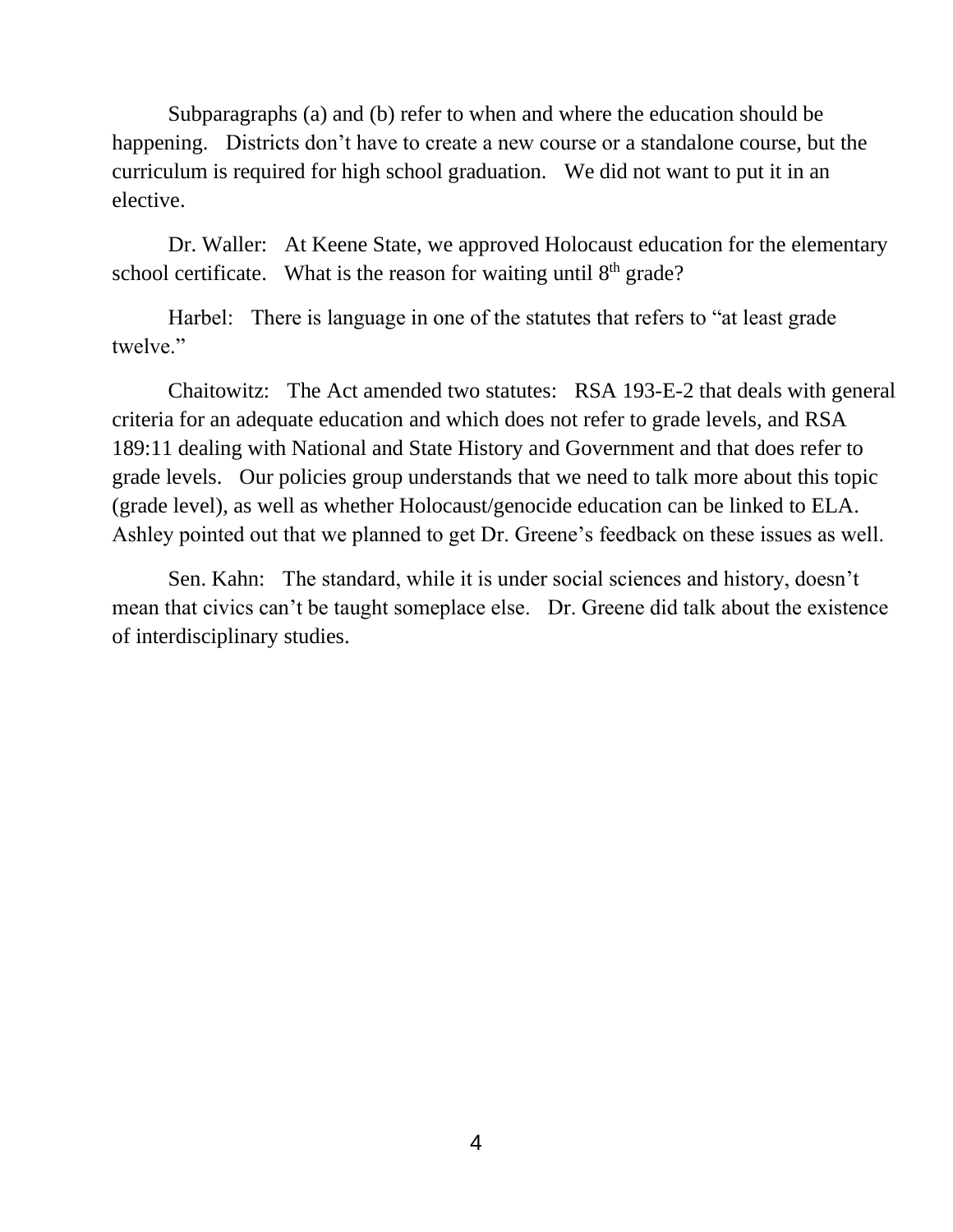Subparagraphs (a) and (b) refer to when and where the education should be happening. Districts don't have to create a new course or a standalone course, but the curriculum is required for high school graduation. We did not want to put it in an elective.

Dr. Waller: At Keene State, we approved Holocaust education for the elementary school certificate. What is the reason for waiting until  $8<sup>th</sup>$  grade?

Harbel: There is language in one of the statutes that refers to "at least grade twelve."

Chaitowitz: The Act amended two statutes: RSA 193-E-2 that deals with general criteria for an adequate education and which does not refer to grade levels, and RSA 189:11 dealing with National and State History and Government and that does refer to grade levels. Our policies group understands that we need to talk more about this topic (grade level), as well as whether Holocaust/genocide education can be linked to ELA. Ashley pointed out that we planned to get Dr. Greene's feedback on these issues as well.

Sen. Kahn: The standard, while it is under social sciences and history, doesn't mean that civics can't be taught someplace else. Dr. Greene did talk about the existence of interdisciplinary studies.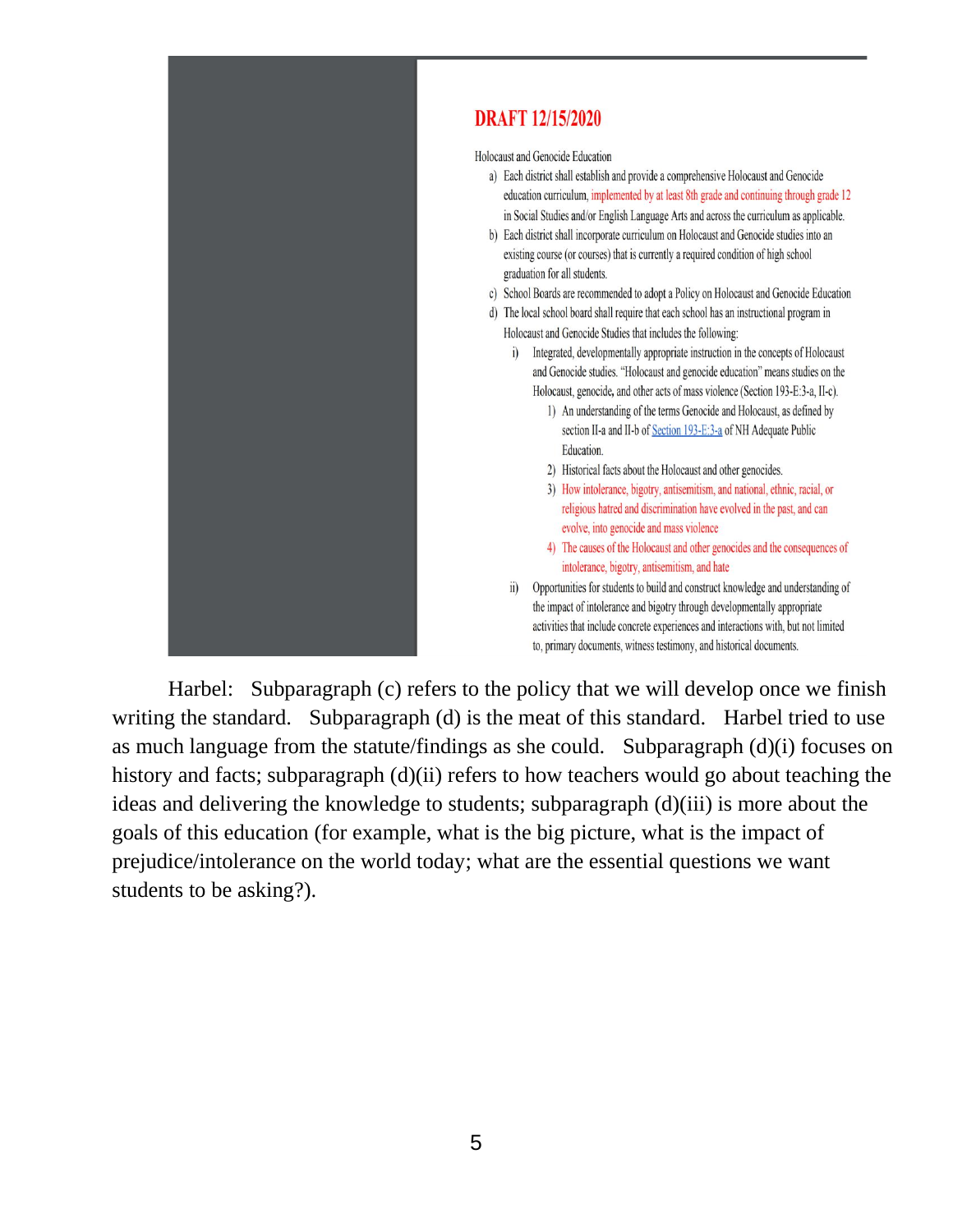

### **DRAFT 12/15/2020**

Holocaust and Genocide Education

- a) Each district shall establish and provide a comprehensive Holocaust and Genocide education curriculum, implemented by at least 8th grade and continuing through grade 12 in Social Studies and/or English Language Arts and across the curriculum as applicable.
- b) Each district shall incorporate curriculum on Holocaust and Genocide studies into an existing course (or courses) that is currently a required condition of high school graduation for all students.
- c) School Boards are recommended to adopt a Policy on Holocaust and Genocide Education
- d) The local school board shall require that each school has an instructional program in Holocaust and Genocide Studies that includes the following:
	- i) Integrated, developmentally appropriate instruction in the concepts of Holocaust and Genocide studies. "Holocaust and genocide education" means studies on the Holocaust, genocide, and other acts of mass violence (Section 193-E:3-a, II-c).
		- 1) An understanding of the terms Genocide and Holocaust, as defined by section II-a and II-b of Section 193-E:3-a of NH Adequate Public Education.
		- 2) Historical facts about the Holocaust and other genocides.
		- 3) How intolerance, bigotry, antisemitism, and national, ethnic, racial, or religious hatred and discrimination have evolved in the past, and can evolve, into genocide and mass violence
		- 4) The causes of the Holocaust and other genocides and the consequences of intolerance, bigotry, antisemitism, and hate
	- ii) Opportunities for students to build and construct knowledge and understanding of the impact of intolerance and bigotry through developmentally appropriate activities that include concrete experiences and interactions with, but not limited to, primary documents, witness testimony, and historical documents.

Harbel: Subparagraph (c) refers to the policy that we will develop once we finish writing the standard. Subparagraph (d) is the meat of this standard. Harbel tried to use as much language from the statute/findings as she could. Subparagraph (d)(i) focuses on history and facts; subparagraph (d)(ii) refers to how teachers would go about teaching the ideas and delivering the knowledge to students; subparagraph (d)(iii) is more about the goals of this education (for example, what is the big picture, what is the impact of prejudice/intolerance on the world today; what are the essential questions we want students to be asking?).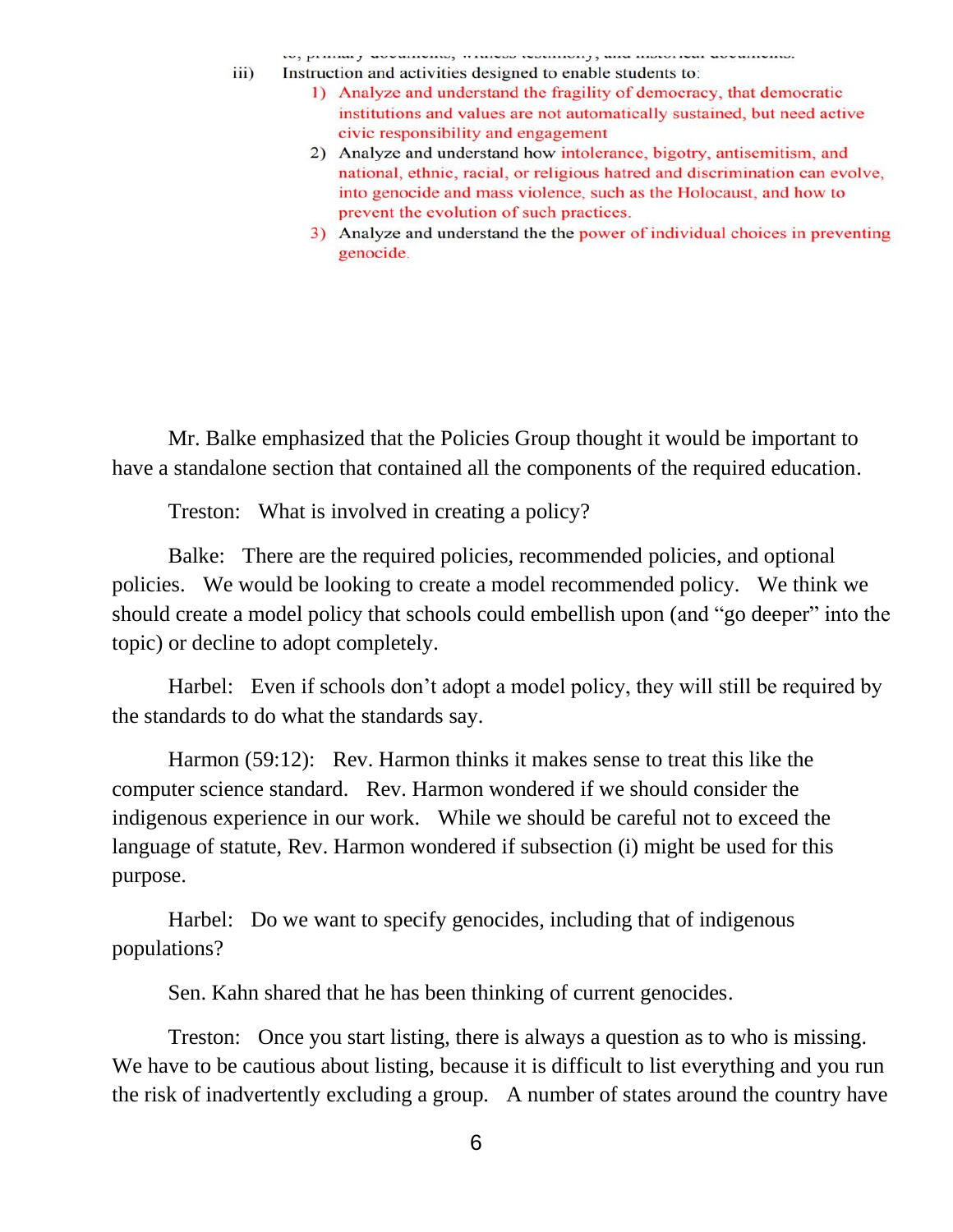- 10, primini j slovnimskimi, italijam parlimenti, sima morekom slovnimskimi.  $\overline{111}$ 
	- Instruction and activities designed to enable students to:
		- 1) Analyze and understand the fragility of democracy, that democratic institutions and values are not automatically sustained, but need active civic responsibility and engagement
		- 2) Analyze and understand how intolerance, bigotry, antisemitism, and national, ethnic, racial, or religious hatred and discrimination can evolve, into genocide and mass violence, such as the Holocaust, and how to prevent the evolution of such practices.
		- 3) Analyze and understand the the power of individual choices in preventing genocide.

Mr. Balke emphasized that the Policies Group thought it would be important to have a standalone section that contained all the components of the required education.

Treston: What is involved in creating a policy?

Balke: There are the required policies, recommended policies, and optional policies. We would be looking to create a model recommended policy. We think we should create a model policy that schools could embellish upon (and "go deeper" into the topic) or decline to adopt completely.

Harbel: Even if schools don't adopt a model policy, they will still be required by the standards to do what the standards say.

Harmon (59:12): Rev. Harmon thinks it makes sense to treat this like the computer science standard. Rev. Harmon wondered if we should consider the indigenous experience in our work. While we should be careful not to exceed the language of statute, Rev. Harmon wondered if subsection (i) might be used for this purpose.

Harbel: Do we want to specify genocides, including that of indigenous populations?

Sen. Kahn shared that he has been thinking of current genocides.

Treston: Once you start listing, there is always a question as to who is missing. We have to be cautious about listing, because it is difficult to list everything and you run the risk of inadvertently excluding a group. A number of states around the country have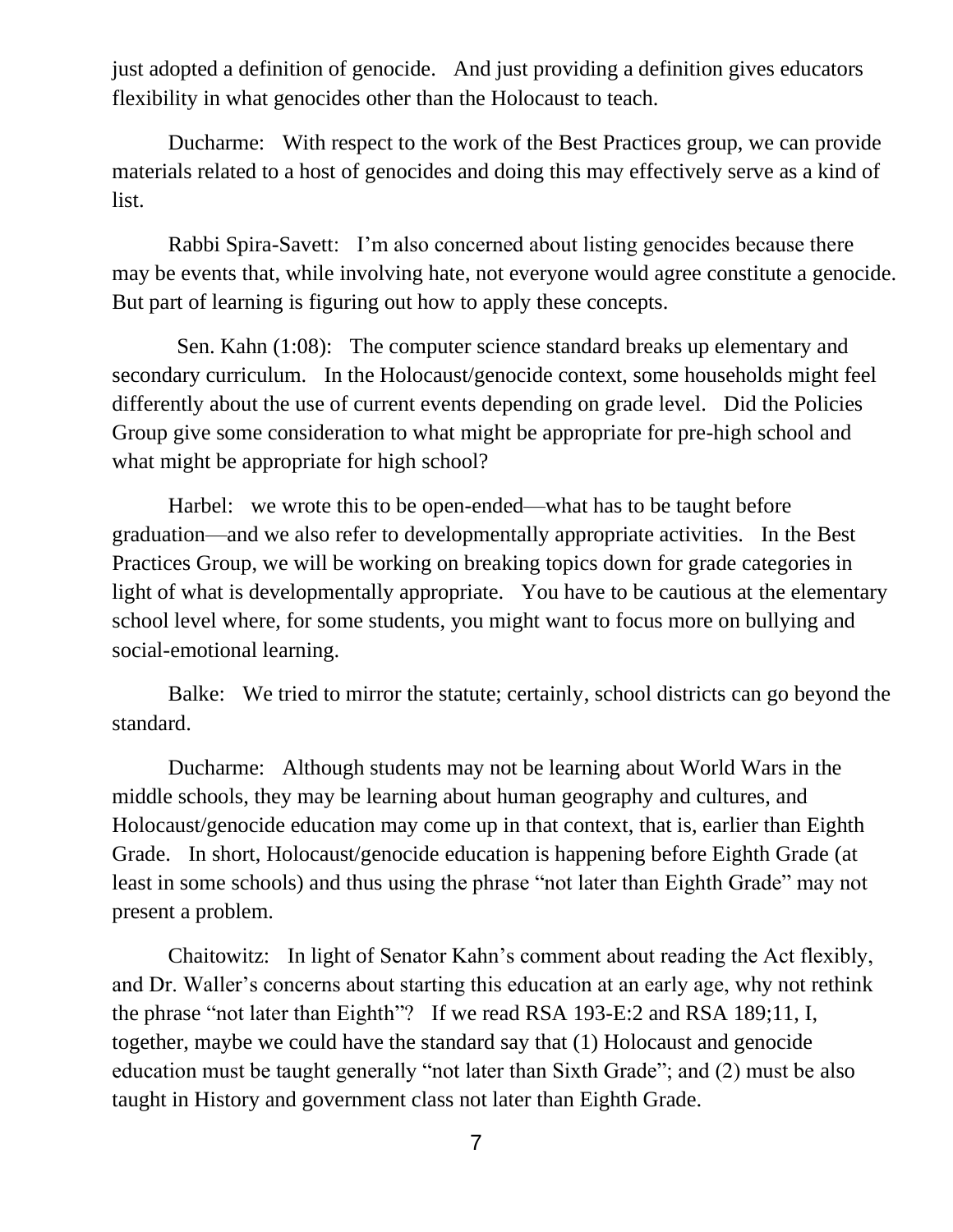just adopted a definition of genocide. And just providing a definition gives educators flexibility in what genocides other than the Holocaust to teach.

Ducharme: With respect to the work of the Best Practices group, we can provide materials related to a host of genocides and doing this may effectively serve as a kind of list.

Rabbi Spira-Savett: I'm also concerned about listing genocides because there may be events that, while involving hate, not everyone would agree constitute a genocide. But part of learning is figuring out how to apply these concepts.

Sen. Kahn (1:08): The computer science standard breaks up elementary and secondary curriculum. In the Holocaust/genocide context, some households might feel differently about the use of current events depending on grade level. Did the Policies Group give some consideration to what might be appropriate for pre-high school and what might be appropriate for high school?

Harbel: we wrote this to be open-ended—what has to be taught before graduation—and we also refer to developmentally appropriate activities. In the Best Practices Group, we will be working on breaking topics down for grade categories in light of what is developmentally appropriate. You have to be cautious at the elementary school level where, for some students, you might want to focus more on bullying and social-emotional learning.

Balke: We tried to mirror the statute; certainly, school districts can go beyond the standard.

Ducharme: Although students may not be learning about World Wars in the middle schools, they may be learning about human geography and cultures, and Holocaust/genocide education may come up in that context, that is, earlier than Eighth Grade. In short, Holocaust/genocide education is happening before Eighth Grade (at least in some schools) and thus using the phrase "not later than Eighth Grade" may not present a problem.

Chaitowitz: In light of Senator Kahn's comment about reading the Act flexibly, and Dr. Waller's concerns about starting this education at an early age, why not rethink the phrase "not later than Eighth"? If we read RSA 193-E:2 and RSA 189;11, I, together, maybe we could have the standard say that (1) Holocaust and genocide education must be taught generally "not later than Sixth Grade"; and (2) must be also taught in History and government class not later than Eighth Grade.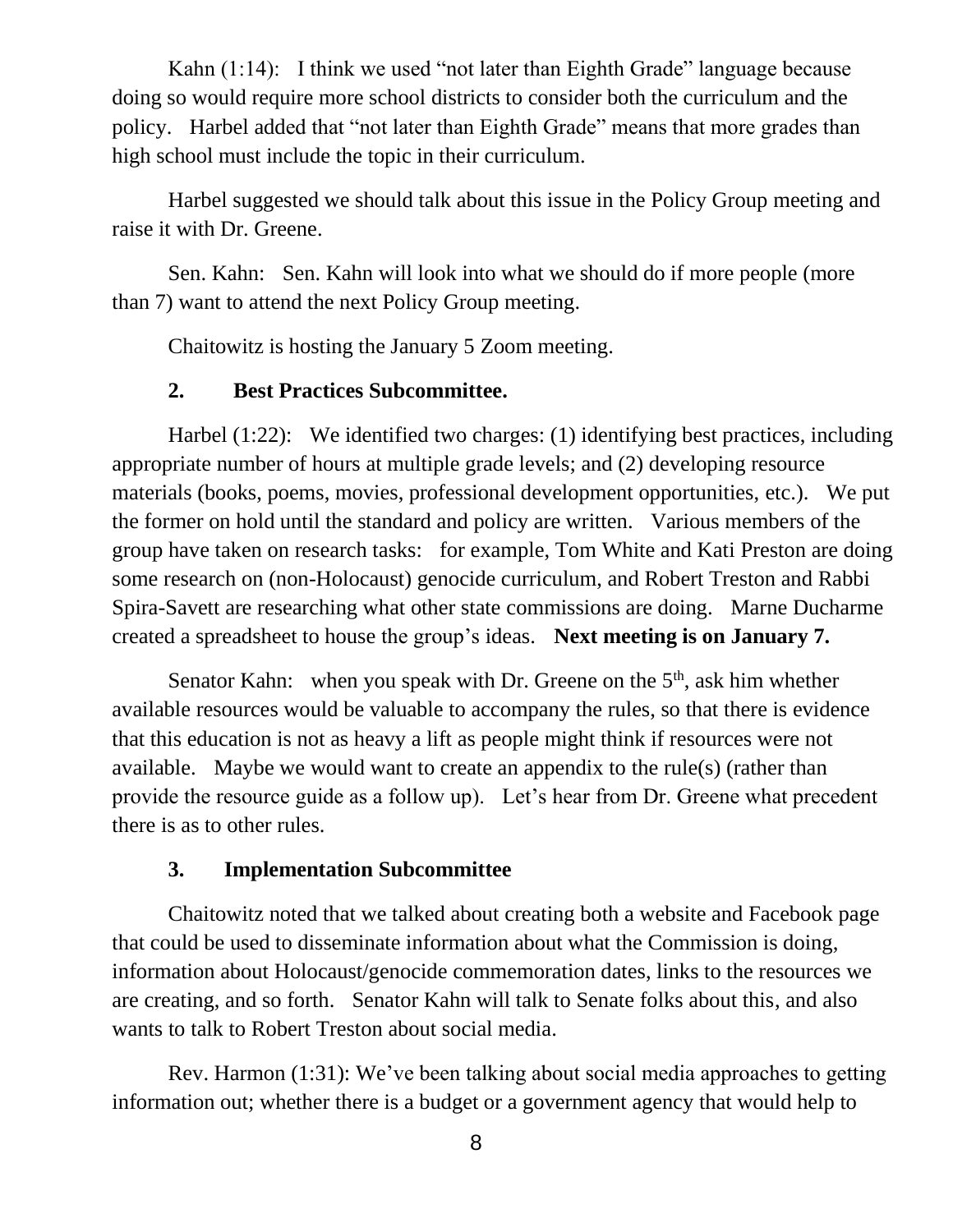Kahn (1:14): I think we used "not later than Eighth Grade" language because doing so would require more school districts to consider both the curriculum and the policy. Harbel added that "not later than Eighth Grade" means that more grades than high school must include the topic in their curriculum.

Harbel suggested we should talk about this issue in the Policy Group meeting and raise it with Dr. Greene.

Sen. Kahn: Sen. Kahn will look into what we should do if more people (more than 7) want to attend the next Policy Group meeting.

Chaitowitz is hosting the January 5 Zoom meeting.

### **2. Best Practices Subcommittee.**

Harbel (1:22): We identified two charges: (1) identifying best practices, including appropriate number of hours at multiple grade levels; and (2) developing resource materials (books, poems, movies, professional development opportunities, etc.). We put the former on hold until the standard and policy are written. Various members of the group have taken on research tasks: for example, Tom White and Kati Preston are doing some research on (non-Holocaust) genocide curriculum, and Robert Treston and Rabbi Spira-Savett are researching what other state commissions are doing. Marne Ducharme created a spreadsheet to house the group's ideas. **Next meeting is on January 7.**

Senator Kahn: when you speak with Dr. Greene on the  $5<sup>th</sup>$ , ask him whether available resources would be valuable to accompany the rules, so that there is evidence that this education is not as heavy a lift as people might think if resources were not available. Maybe we would want to create an appendix to the rule(s) (rather than provide the resource guide as a follow up). Let's hear from Dr. Greene what precedent there is as to other rules.

### **3. Implementation Subcommittee**

Chaitowitz noted that we talked about creating both a website and Facebook page that could be used to disseminate information about what the Commission is doing, information about Holocaust/genocide commemoration dates, links to the resources we are creating, and so forth. Senator Kahn will talk to Senate folks about this, and also wants to talk to Robert Treston about social media.

Rev. Harmon (1:31): We've been talking about social media approaches to getting information out; whether there is a budget or a government agency that would help to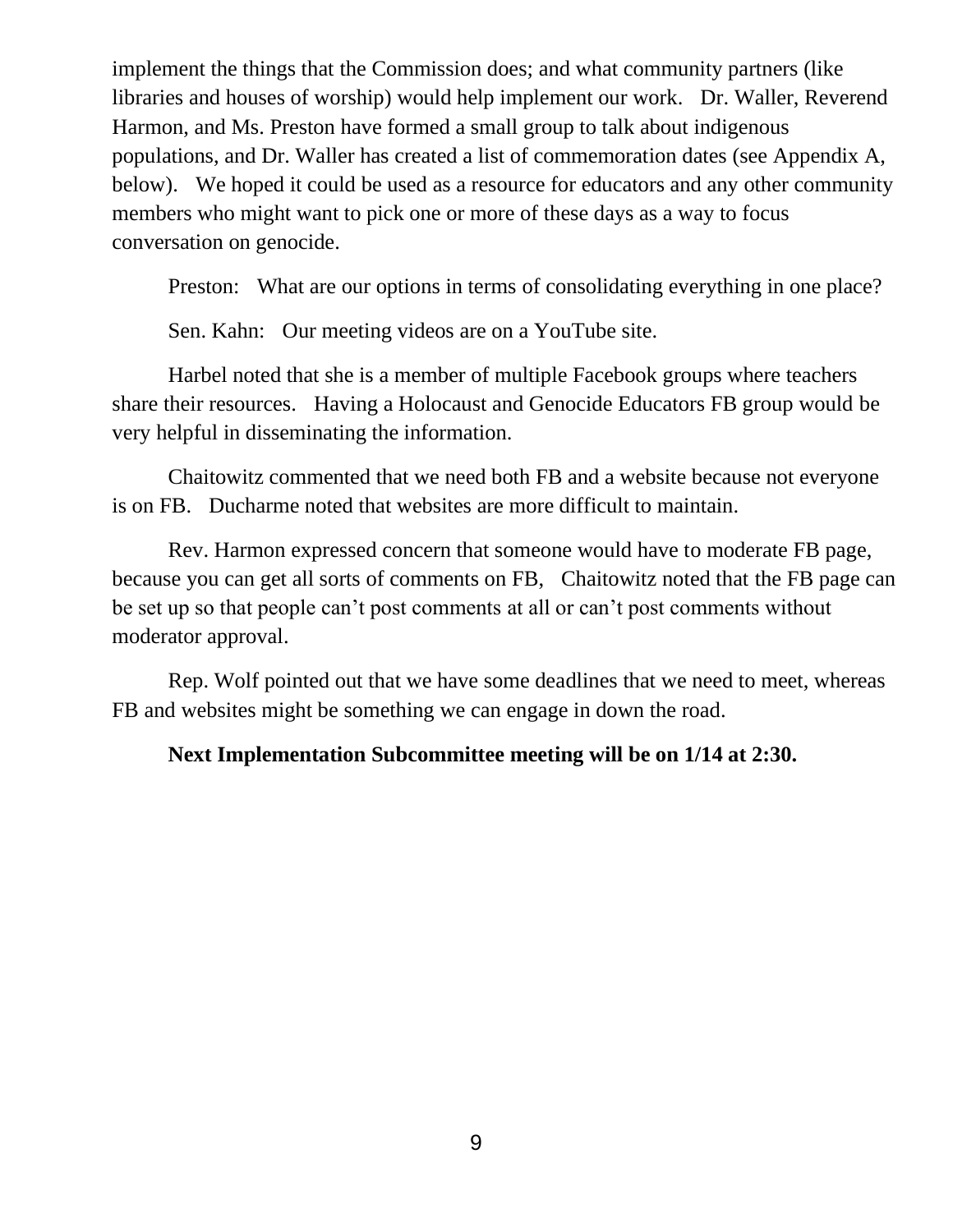implement the things that the Commission does; and what community partners (like libraries and houses of worship) would help implement our work. Dr. Waller, Reverend Harmon, and Ms. Preston have formed a small group to talk about indigenous populations, and Dr. Waller has created a list of commemoration dates (see Appendix A, below). We hoped it could be used as a resource for educators and any other community members who might want to pick one or more of these days as a way to focus conversation on genocide.

Preston: What are our options in terms of consolidating everything in one place?

Sen. Kahn: Our meeting videos are on a YouTube site.

Harbel noted that she is a member of multiple Facebook groups where teachers share their resources. Having a Holocaust and Genocide Educators FB group would be very helpful in disseminating the information.

Chaitowitz commented that we need both FB and a website because not everyone is on FB. Ducharme noted that websites are more difficult to maintain.

Rev. Harmon expressed concern that someone would have to moderate FB page, because you can get all sorts of comments on FB, Chaitowitz noted that the FB page can be set up so that people can't post comments at all or can't post comments without moderator approval.

Rep. Wolf pointed out that we have some deadlines that we need to meet, whereas FB and websites might be something we can engage in down the road.

### **Next Implementation Subcommittee meeting will be on 1/14 at 2:30.**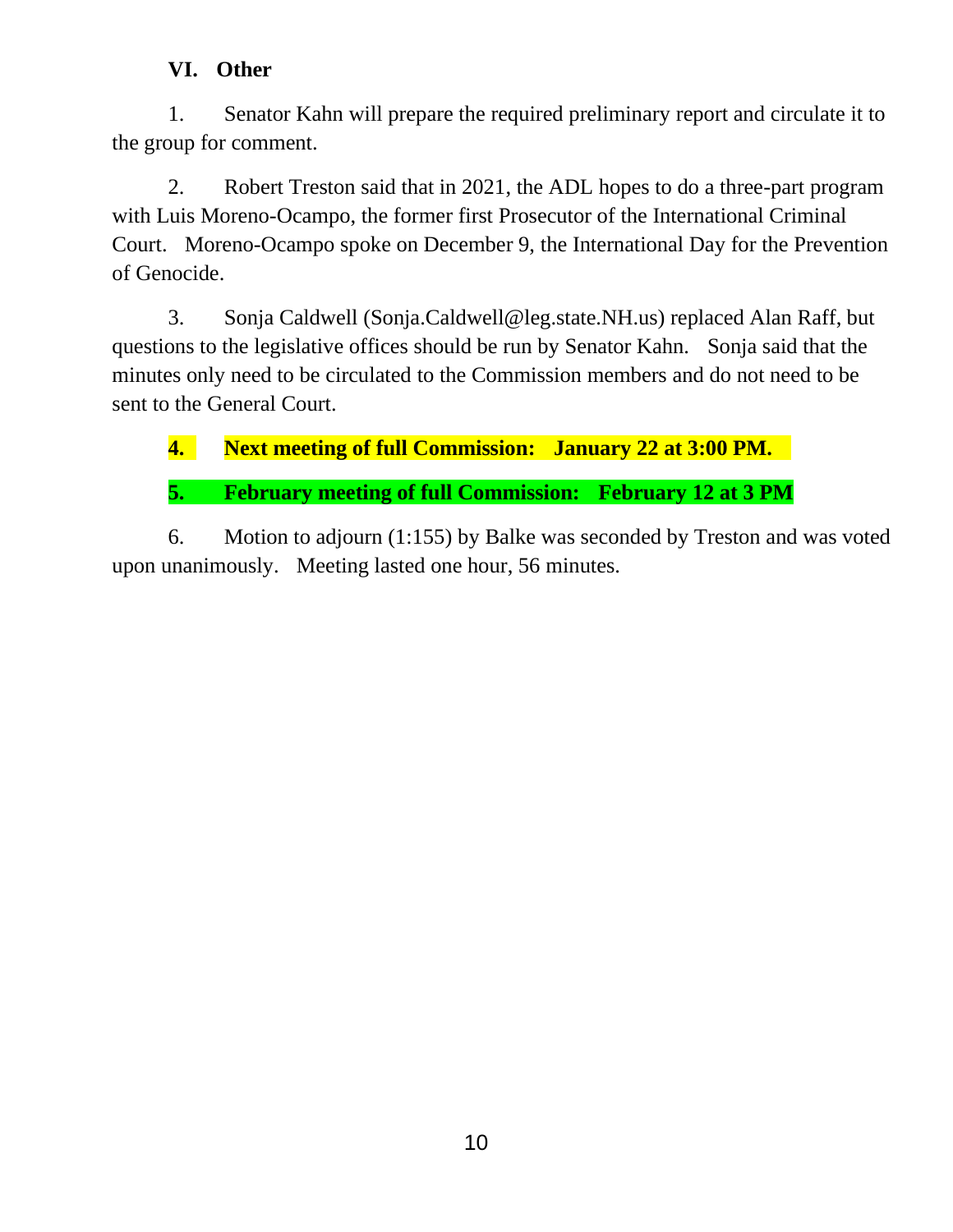### **VI. Other**

1. Senator Kahn will prepare the required preliminary report and circulate it to the group for comment.

2. Robert Treston said that in 2021, the ADL hopes to do a three-part program with Luis Moreno-Ocampo, the former first Prosecutor of the International Criminal Court. Moreno-Ocampo spoke on December 9, the International Day for the Prevention of Genocide.

3. Sonja Caldwell (Sonja.Caldwell@leg.state.NH.us) replaced Alan Raff, but questions to the legislative offices should be run by Senator Kahn. Sonja said that the minutes only need to be circulated to the Commission members and do not need to be sent to the General Court.

**4. Next meeting of full Commission: January 22 at 3:00 PM.** 

**5. February meeting of full Commission: February 12 at 3 PM**

6. Motion to adjourn (1:155) by Balke was seconded by Treston and was voted upon unanimously. Meeting lasted one hour, 56 minutes.